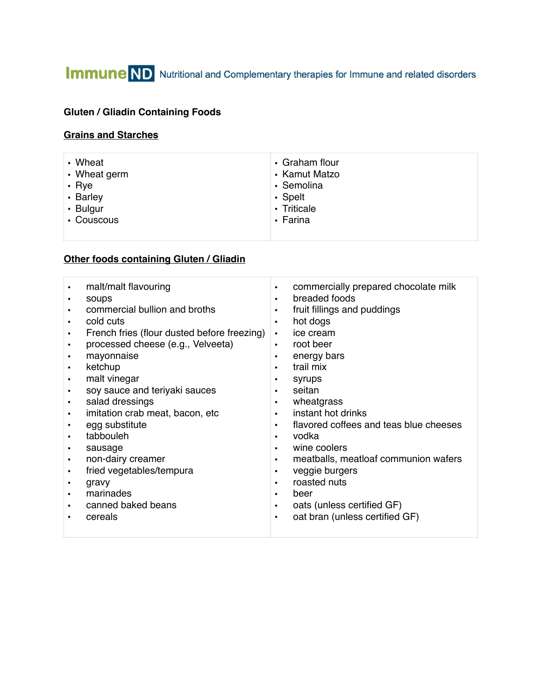# **Immune** ND Nutritional and Complementary therapies for Immune and related disorders

## **Gluten / Gliadin Containing Foods**

### **Grains and Starches**

| • Wheat      | • Graham flour |
|--------------|----------------|
| • Wheat germ | • Kamut Matzo  |
| $\cdot$ Rye  | • Semolina     |
| • Barley     | $\cdot$ Spelt  |
| • Bulgur     | • Triticale    |
| • Couscous   | • Farina       |

## **Other foods containing Gluten / Gliadin**

| ٠<br>٠<br>٠<br>٠ | malt/malt flavouring<br>soups<br>commercial bullion and broths<br>cold cuts<br>French fries (flour dusted before freezing)<br>processed cheese (e.g., Velveeta)<br>mayonnaise<br>ketchup<br>malt vinegar<br>soy sauce and teriyaki sauces<br>salad dressings<br>imitation crab meat, bacon, etc<br>egg substitute<br>tabbouleh<br>sausage<br>non-dairy creamer<br>fried vegetables/tempura<br>gravy<br>marinades<br>canned baked beans<br>cereals | $\bullet$<br>$\bullet$<br>٠<br>$\bullet$<br>$\bullet$<br>$\bullet$<br>$\bullet$<br>$\bullet$<br>$\bullet$<br>$\bullet$<br>$\bullet$<br>$\bullet$<br>$\bullet$<br>٠<br>٠<br>$\bullet$<br>$\bullet$<br>$\bullet$ | commercially prepared chocolate milk<br>breaded foods<br>fruit fillings and puddings<br>hot dogs<br>ice cream<br>root beer<br>energy bars<br>trail mix<br>syrups<br>seitan<br>wheatgrass<br>instant hot drinks<br>flavored coffees and teas blue cheeses<br>vodka<br>wine coolers<br>meatballs, meatloaf communion wafers<br>veggie burgers<br>roasted nuts<br>beer<br>oats (unless certified GF)<br>oat bran (unless certified GF) |
|------------------|---------------------------------------------------------------------------------------------------------------------------------------------------------------------------------------------------------------------------------------------------------------------------------------------------------------------------------------------------------------------------------------------------------------------------------------------------|----------------------------------------------------------------------------------------------------------------------------------------------------------------------------------------------------------------|-------------------------------------------------------------------------------------------------------------------------------------------------------------------------------------------------------------------------------------------------------------------------------------------------------------------------------------------------------------------------------------------------------------------------------------|
|------------------|---------------------------------------------------------------------------------------------------------------------------------------------------------------------------------------------------------------------------------------------------------------------------------------------------------------------------------------------------------------------------------------------------------------------------------------------------|----------------------------------------------------------------------------------------------------------------------------------------------------------------------------------------------------------------|-------------------------------------------------------------------------------------------------------------------------------------------------------------------------------------------------------------------------------------------------------------------------------------------------------------------------------------------------------------------------------------------------------------------------------------|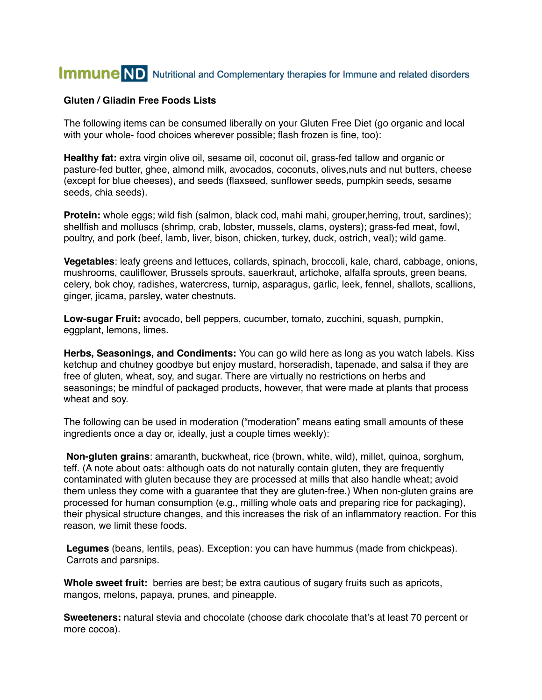## **Immune** ND Nutritional and Complementary therapies for Immune and related disorders

#### **Gluten / Gliadin Free Foods Lists**

The following items can be consumed liberally on your Gluten Free Diet (go organic and local with your whole- food choices wherever possible; flash frozen is fine, too):

**Healthy fat:** extra virgin olive oil, sesame oil, coconut oil, grass-fed tallow and organic or pasture-fed butter, ghee, almond milk, avocados, coconuts, olives,nuts and nut butters, cheese (except for blue cheeses), and seeds (flaxseed, sunflower seeds, pumpkin seeds, sesame seeds, chia seeds).

**Protein:** whole eggs; wild fish (salmon, black cod, mahi mahi, grouper, herring, trout, sardines); shellfish and molluscs (shrimp, crab, lobster, mussels, clams, oysters); grass-fed meat, fowl, poultry, and pork (beef, lamb, liver, bison, chicken, turkey, duck, ostrich, veal); wild game.

**Vegetables**: leafy greens and lettuces, collards, spinach, broccoli, kale, chard, cabbage, onions, mushrooms, cauliflower, Brussels sprouts, sauerkraut, artichoke, alfalfa sprouts, green beans, celery, bok choy, radishes, watercress, turnip, asparagus, garlic, leek, fennel, shallots, scallions, ginger, jicama, parsley, water chestnuts.

**Low-sugar Fruit:** avocado, bell peppers, cucumber, tomato, zucchini, squash, pumpkin, eggplant, lemons, limes.

**Herbs, Seasonings, and Condiments:** You can go wild here as long as you watch labels. Kiss ketchup and chutney goodbye but enjoy mustard, horseradish, tapenade, and salsa if they are free of gluten, wheat, soy, and sugar. There are virtually no restrictions on herbs and seasonings; be mindful of packaged products, however, that were made at plants that process wheat and soy.

The following can be used in moderation ("moderation" means eating small amounts of these ingredients once a day or, ideally, just a couple times weekly):

 **Non-gluten grains**: amaranth, buckwheat, rice (brown, white, wild), millet, quinoa, sorghum, teff. (A note about oats: although oats do not naturally contain gluten, they are frequently contaminated with gluten because they are processed at mills that also handle wheat; avoid them unless they come with a guarantee that they are gluten-free.) When non-gluten grains are processed for human consumption (e.g., milling whole oats and preparing rice for packaging), their physical structure changes, and this increases the risk of an inflammatory reaction. For this reason, we limit these foods.

**Legumes** (beans, lentils, peas). Exception: you can have hummus (made from chickpeas). Carrots and parsnips.

**Whole sweet fruit:** berries are best; be extra cautious of sugary fruits such as apricots, mangos, melons, papaya, prunes, and pineapple.

**Sweeteners:** natural stevia and chocolate (choose dark chocolate that's at least 70 percent or more cocoa).